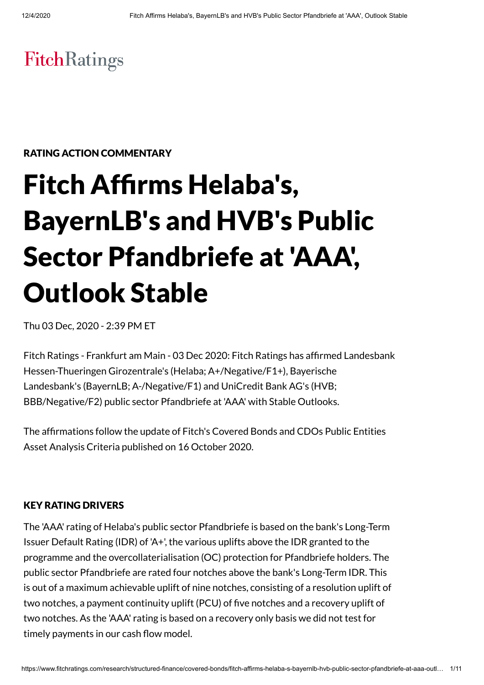# **FitchRatings**

#### RATING ACTION COMMENTARY

# Fitch Affirms Helaba's, BayernLB's and HVB's Public Sector Pfandbriefe at 'AAA' , Outlook Stable

Thu 03 Dec, 2020 - 2:39 PM ET

Fitch Ratings - Frankfurt am Main - 03 Dec 2020: Fitch Ratings has afrmed Landesbank Hessen-Thueringen Girozentrale's (Helaba; A+/Negative/F1+), Bayerische Landesbank's (BayernLB; A-/Negative/F1) and UniCredit Bank AG's (HVB; BBB/Negative/F2) public sector Pfandbriefe at 'AAA' with Stable Outlooks.

The afrmations follow the update of Fitch's Covered Bonds and CDOs Public Entities Asset Analysis Criteria published on 16 October 2020.

#### KEY RATING DRIVERS

The 'AAA' rating of Helaba's public sector Pfandbriefe is based on the bank's Long-Term Issuer Default Rating (IDR) of 'A+', the various uplifts above the IDR granted to the programme and the overcollaterialisation (OC) protection for Pfandbriefe holders. The public sector Pfandbriefe are rated four notches above the bank's Long-Term IDR. This is out of a maximum achievable uplift of nine notches, consisting of a resolution uplift of two notches, a payment continuity uplift (PCU) of five notches and a recovery uplift of two notches. As the 'AAA' rating is based on a recovery only basis we did not test for timely payments in our cash flow model.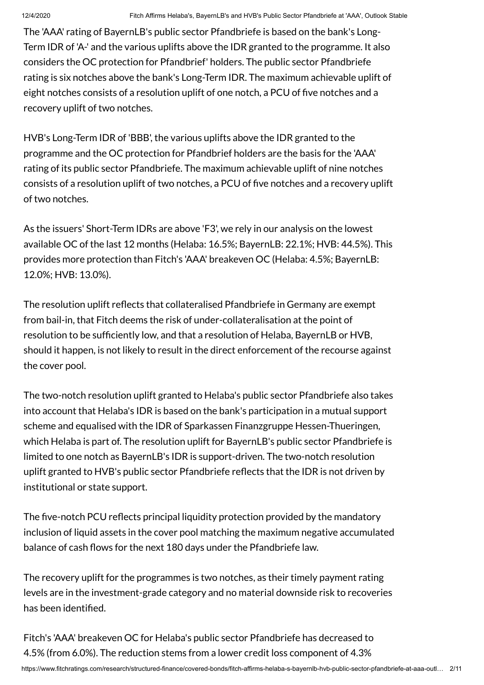The 'AAA' rating of BayernLB's public sector Pfandbriefe is based on the bank's Long-Term IDR of 'A-' and the various uplifts above the IDR granted to the programme. It also considers the OC protection for Pfandbrief' holders. The public sector Pfandbriefe rating is six notches above the bank's Long-Term IDR. The maximum achievable uplift of eight notches consists of a resolution uplift of one notch, a PCU of five notches and a recovery uplift of two notches.

HVB's Long-Term IDR of 'BBB', the various uplifts above the IDR granted to the programme and the OC protection for Pfandbrief holders are the basis for the 'AAA' rating of its public sector Pfandbriefe. The maximum achievable uplift of nine notches consists of a resolution uplift of two notches, a PCU of five notches and a recovery uplift of two notches.

As the issuers' Short-Term IDRs are above 'F3', we rely in our analysis on the lowest available OC of the last 12 months (Helaba: 16.5%; BayernLB: 22.1%; HVB: 44.5%). This provides more protection than Fitch's 'AAA' breakeven OC (Helaba: 4.5%; BayernLB: 12.0%; HVB: 13.0%).

The resolution uplift reflects that collateralised Pfandbriefe in Germany are exempt from bail-in, that Fitch deems the risk of under-collateralisation at the point of resolution to be sufficiently low, and that a resolution of Helaba, BayernLB or HVB, should it happen, is not likely to result in the direct enforcement of the recourse against the cover pool.

The two-notch resolution uplift granted to Helaba's public sector Pfandbriefe also takes into account that Helaba's IDR is based on the bank's participation in a mutual support scheme and equalised with the IDR of Sparkassen Finanzgruppe Hessen-Thueringen, which Helaba is part of. The resolution uplift for BayernLB's public sector Pfandbriefe is limited to one notch as BayernLB's IDR is support-driven. The two-notch resolution uplift granted to HVB's public sector Pfandbriefe reflects that the IDR is not driven by institutional or state support.

The five-notch PCU reflects principal liquidity protection provided by the mandatory inclusion of liquid assets in the cover pool matching the maximum negative accumulated balance of cash flows for the next 180 days under the Pfandbriefe law.

The recovery uplift for the programmes is two notches, as their timely payment rating levels are in the investment-grade category and no material downside risk to recoveries has been identified.

Fitch's 'AAA' breakeven OC for Helaba's public sector Pfandbriefe has decreased to 4.5% (from 6.0%). The reduction stems from a lower credit loss component of 4.3%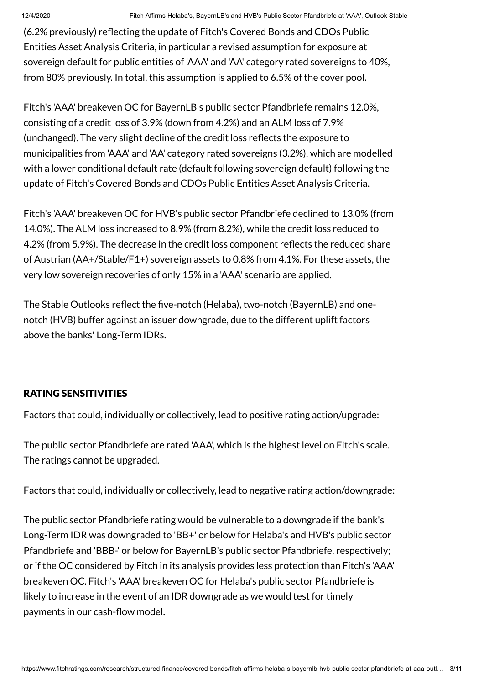(6.2% previously) reflecting the update of Fitch's Covered Bonds and CDOs Public Entities Asset Analysis Criteria, in particular a revised assumption for exposure at sovereign default for public entities of 'AAA' and 'AA' category rated sovereigns to 40%, from 80% previously. In total, this assumption is applied to 6.5% of the cover pool.

Fitch's 'AAA' breakeven OC for BayernLB's public sector Pfandbriefe remains 12.0%, consisting of a credit loss of 3.9% (down from 4.2%) and an ALM loss of 7.9% (unchanged). The very slight decline of the credit loss reflects the exposure to municipalities from 'AAA' and 'AA' category rated sovereigns (3.2%), which are modelled with a lower conditional default rate (default following sovereign default) following the update of Fitch's Covered Bonds and CDOs Public Entities Asset Analysis Criteria.

Fitch's 'AAA' breakeven OC for HVB's public sector Pfandbriefe declined to 13.0% (from 14.0%). The ALM loss increased to 8.9% (from 8.2%), while the credit loss reduced to 4.2% (from 5.9%). The decrease in the credit loss component reflects the reduced share of Austrian (AA+/Stable/F1+) sovereign assets to 0.8% from 4.1%. For these assets, the very low sovereign recoveries of only 15% in a 'AAA' scenario are applied.

The Stable Outlooks reflect the five-notch (Helaba), two-notch (BayernLB) and onenotch (HVB) buffer against an issuer downgrade, due to the different uplift factors above the banks' Long-Term IDRs.

## RATING SENSITIVITIES

Factors that could, individually or collectively, lead to positive rating action/upgrade:

The public sector Pfandbriefe are rated 'AAA', which is the highest level on Fitch's scale. The ratings cannot be upgraded.

Factors that could, individually or collectively, lead to negative rating action/downgrade:

The public sector Pfandbriefe rating would be vulnerable to a downgrade if the bank's Long-Term IDR was downgraded to 'BB+' or below for Helaba's and HVB's public sector Pfandbriefe and 'BBB-' or below for BayernLB's public sector Pfandbriefe, respectively; or if the OC considered by Fitch in its analysis provides less protection than Fitch's 'AAA' breakeven OC. Fitch's 'AAA' breakeven OC for Helaba's public sector Pfandbriefe is likely to increase in the event of an IDR downgrade as we would test for timely payments in our cash-flow model.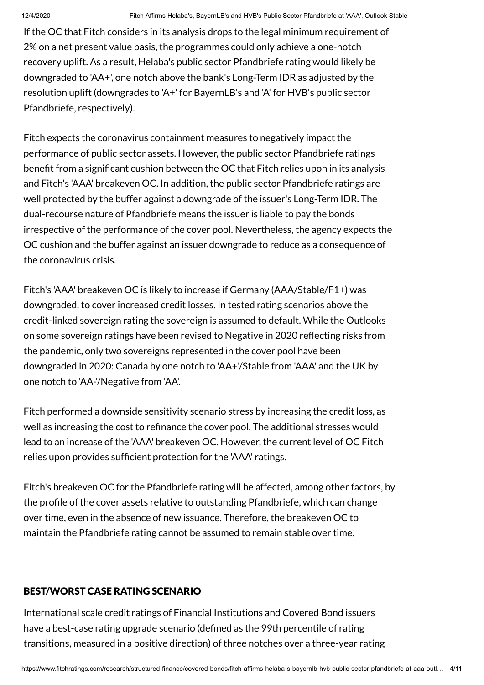If the OC that Fitch considers in its analysis drops to the legal minimum requirement of 2% on a net present value basis, the programmes could only achieve a one-notch recovery uplift. As a result, Helaba's public sector Pfandbriefe rating would likely be downgraded to 'AA+', one notch above the bank's Long-Term IDR as adjusted by the resolution uplift (downgrades to 'A+' for BayernLB's and 'A' for HVB's public sector Pfandbriefe, respectively).

Fitch expects the coronavirus containment measures to negatively impact the performance of public sector assets. However, the public sector Pfandbriefe ratings benefit from a significant cushion between the OC that Fitch relies upon in its analysis and Fitch's 'AAA' breakeven OC. In addition, the public sector Pfandbriefe ratings are well protected by the buffer against a downgrade of the issuer's Long-Term IDR. The dual-recourse nature of Pfandbriefe means the issuer is liable to pay the bonds irrespective of the performance of the cover pool. Nevertheless, the agency expects the OC cushion and the buffer against an issuer downgrade to reduce as a consequence of the coronavirus crisis.

Fitch's 'AAA' breakeven OC is likely to increase if Germany (AAA/Stable/F1+) was downgraded, to cover increased credit losses. In tested rating scenarios above the credit-linked sovereign rating the sovereign is assumed to default. While the Outlooks on some sovereign ratings have been revised to Negative in 2020 reflecting risks from the pandemic, only two sovereigns represented in the cover pool have been downgraded in 2020: Canada by one notch to 'AA+'/Stable from 'AAA' and the UK by one notch to 'AA-'/Negative from 'AA'.

Fitch performed a downside sensitivity scenario stress by increasing the credit loss, as well as increasing the cost to refinance the cover pool. The additional stresses would lead to an increase of the 'AAA' breakeven OC. However, the current level of OC Fitch relies upon provides sufficient protection for the 'AAA' ratings.

Fitch's breakeven OC for the Pfandbriefe rating will be affected, among other factors, by the profile of the cover assets relative to outstanding Pfandbriefe, which can change over time, even in the absence of new issuance. Therefore, the breakeven OC to maintain the Pfandbriefe rating cannot be assumed to remain stable over time.

#### BEST/WORST CASE RATING SCENARIO

International scale credit ratings of Financial Institutions and Covered Bond issuers have a best-case rating upgrade scenario (defined as the 99th percentile of rating transitions, measured in a positive direction) of three notches over a three-year rating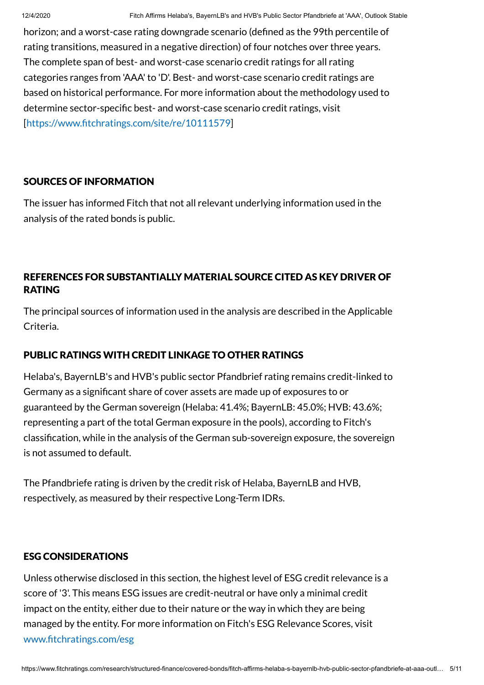horizon; and a worst-case rating downgrade scenario (defined as the 99th percentile of rating transitions, measured in a negative direction) of four notches over three years. The complete span of best- and worst-case scenario credit ratings for all rating categories ranges from 'AAA' to 'D'. Best- and worst-case scenario credit ratings are based on historical performance. For more information about the methodology used to determine sector-specific best- and worst-case scenario credit ratings, visit [https://www.fitchratings.com/site/re/10111579]

#### SOURCES OF INFORMATION

The issuer has informed Fitch that not all relevant underlying information used in the analysis of the rated bonds is public.

### REFERENCES FOR SUBSTANTIALLY MATERIAL SOURCE CITED AS KEY DRIVER OF RATING

The principal sources of information used in the analysis are described in the Applicable Criteria.

#### PUBLIC RATINGS WITH CREDIT LINKAGE TO OTHER RATINGS

Helaba's, BayernLB's and HVB's public sector Pfandbrief rating remains credit-linked to Germany as a significant share of cover assets are made up of exposures to or guaranteed by the German sovereign (Helaba: 41.4%; BayernLB: 45.0%; HVB: 43.6%; representing a part of the total German exposure in the pools), according to Fitch's classification, while in the analysis of the German sub-sovereign exposure, the sovereign is not assumed to default.

The Pfandbriefe rating is driven by the credit risk of Helaba, BayernLB and HVB, respectively, as measured by their respective Long-Term IDRs.

#### ESG CONSIDERATIONS

Unless otherwise disclosed in this section, the highest level of ESG credit relevance is a score of '3'. This means ESG issues are credit-neutral or have only a minimal credit impact on the entity, either due to their nature or the way in which they are being managed by the entity. For more information on Fitch's ESG Relevance Scores, visit www.fitchratings.com/esg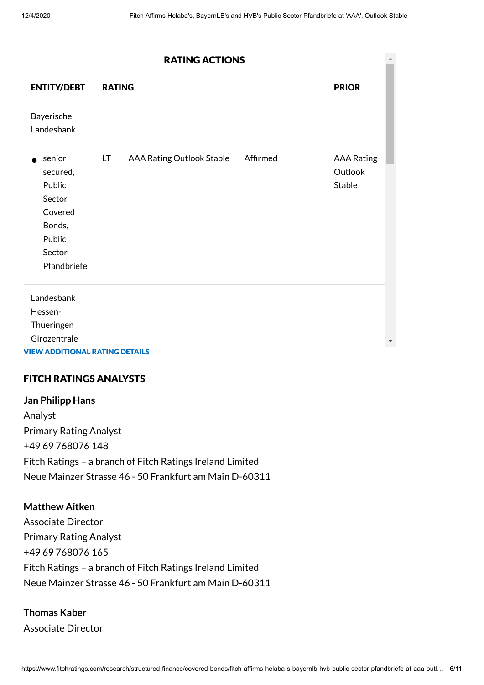| <b>RATING ACTIONS</b>                                                                          |               |                           |          |                                        |  |
|------------------------------------------------------------------------------------------------|---------------|---------------------------|----------|----------------------------------------|--|
| <b>ENTITY/DEBT</b>                                                                             | <b>RATING</b> |                           |          | <b>PRIOR</b>                           |  |
| Bayerische<br>Landesbank                                                                       |               |                           |          |                                        |  |
| senior<br>secured,<br>Public<br>Sector<br>Covered<br>Bonds,<br>Public<br>Sector<br>Pfandbriefe | LT.           | AAA Rating Outlook Stable | Affirmed | <b>AAA Rating</b><br>Outlook<br>Stable |  |
| Landesbank<br>Hessen-<br>Thueringen                                                            |               |                           |          |                                        |  |
| Girozentrale<br><b>VIEW ADDITIONAL RATING DETAILS</b>                                          |               |                           |          |                                        |  |

#### FITCH RATINGS ANALYSTS

**Jan Philipp Hans** Analyst Primary Rating Analyst +49 69 768076 148 Fitch Ratings – a branch of Fitch Ratings Ireland Limited Neue Mainzer Strasse 46 - 50 Frankfurt am Main D-60311

**Matthew Aitken** Associate Director Primary Rating Analyst +49 69 768076 165 Fitch Ratings – a branch of Fitch Ratings Ireland Limited Neue Mainzer Strasse 46 - 50 Frankfurt am Main D-60311

#### **Thomas Kaber**

Associate Director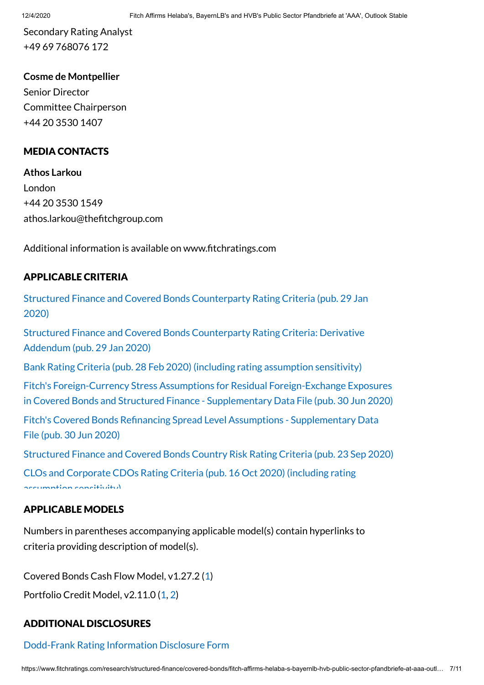Secondary Rating Analyst +49 69 768076 172

#### **Cosme de Montpellier**

Senior Director Committee Chairperson +44 20 3530 1407

#### MEDIA CONTACTS

**Athos Larkou** London +44 20 3530 1549 athos.larkou@thefitchgroup.com

Additional information is available on www.fitchratings.com

#### APPLICABLE CRITERIA

Structured Finance [and Covered Bonds](https://www.fitchratings.com/research/structured-finance/structured-finance-covered-bonds-counterparty-rating-criteria-29-01-2020) Counterparty Rating Criteria (pub. 29 Jan 2020) Structured Finance [and Covered Bonds](https://www.fitchratings.com/research/structured-finance/structured-finance-covered-bonds-counterparty-rating-criteria-derivative-addendum-29-01-2020) Counterparty Rating Criteria: Derivative Addendum (pub. 29 Jan 2020) Bank Rating Criteria (pub. 28 Feb 2020) (including rating [assumption](https://www.fitchratings.com/research/banks/bank-rating-criteria-28-02-2020) sensitivity) Fitch's Foreign-Currency Stress Assumptions for Residual Foreign-Exchange Exposures in Covered Bonds [and Structured Finance](https://www.fitchratings.com/research/structured-finance/covered-bonds/fitch-foreign-currency-stress-assumptions-for-residual-foreign-exchange-exposures-in-covered-bonds-structured-finance-supplementary-file-30-06-2020) - Supplementary Data File (pub. 30 Jun 2020) Fitch's [Covered Bonds](https://www.fitchratings.com/research/structured-finance/covered-bonds/fitch-covered-bonds-refinancing-spread-level-assumptions-supplementary-data-file-30-06-2020) Refinancing Spread Level Assumptions - Supplementary Data File (pub. 30 Jun 2020) Structured Finance [and Covered Bonds](https://www.fitchratings.com/research/structured-finance/structured-finance-covered-bonds-country-risk-rating-criteria-23-09-2020) Country Risk Rating Criteria (pub. 23 Sep 2020) CLOs [and Corporate](https://www.fitchratings.com/research/structured-finance/clos-corporate-cdos-rating-criteria-16-10-2020) CDOs Rating Criteria (pub. 16 Oct 2020) (including rating assumption sensitivity)

#### APPLICABLE MODELS

Numbers in parentheses accompanying applicable model(s) contain hyperlinks to criteria providing description of model(s).

Covered Bonds Cash Flow Model, v1.27.2 ([1\)](https://www.fitchratings.com/site/re/985270)

Portfolio Credit Model, v2.11.0 ([1,](https://www.fitchratings.com/site/re/982380) [2\)](https://www.fitchratings.com/site/re/981882)

#### ADDITIONAL DISCLOSURES

[Dodd-Frank](https://www.fitchratings.com/research/structured-finance/covered-bonds/fitch-affirms-helaba-s-bayernlb-hvb-public-sector-pfandbriefe-at-aaa-outlook-stable-03-12-2020/dodd-frank-disclosure) Rating Information Disclosure Form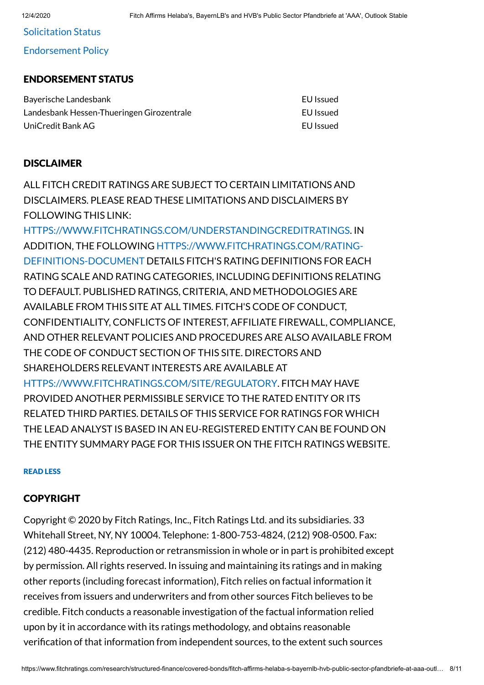# [Solicitation](#page-9-0) Status [Endorsement](#page-9-1) Policy

#### ENDORSEMENT STATUS

| Bayerische Landesbank                     | FU Issued |
|-------------------------------------------|-----------|
| Landesbank Hessen-Thueringen Girozentrale | EU Issued |
| UniCredit Bank AG                         | EU Issued |

#### DISCLAIMER

ALL FITCH CREDIT RATINGS ARE SUBJECT TO CERTAIN LIMITATIONS AND DISCLAIMERS. PLEASE READ THESE LIMITATIONS AND DISCLAIMERS BY FOLLOWING THIS LINK:

[HTTPS://WWW.FITCHRATINGS.COM/UNDERSTANDINGCREDITRATINGS](https://www.fitchratings.com/UNDERSTANDINGCREDITRATINGS). IN ADDITION, THE FOLLOWING [HTTPS://WWW.FITCHRATINGS.COM/RATING-](https://www.fitchratings.com/rating-definitions-document)DEFINITIONS-DOCUMENT DETAILS FITCH'S RATING DEFINITIONS FOR EACH RATING SCALE AND RATING CATEGORIES, INCLUDING DEFINITIONS RELATING TO DEFAULT. PUBLISHED RATINGS, CRITERIA, AND METHODOLOGIES ARE AVAILABLE FROM THIS SITE AT ALL TIMES. FITCH'S CODE OF CONDUCT, CONFIDENTIALITY, CONFLICTS OF INTEREST, AFFILIATE FIREWALL, COMPLIANCE, AND OTHER RELEVANT POLICIES AND PROCEDURES ARE ALSO AVAILABLE FROM THE CODE OF CONDUCT SECTION OF THIS SITE. DIRECTORS AND SHAREHOLDERS RELEVANT INTERESTS ARE AVAILABLE AT [HTTPS://WWW.FITCHRATINGS.COM/SITE/REGULATORY](https://www.fitchratings.com/site/regulatory). FITCH MAY HAVE PROVIDED ANOTHER PERMISSIBLE SERVICE TO THE RATED ENTITY OR ITS RELATED THIRD PARTIES. DETAILS OF THIS SERVICE FOR RATINGS FOR WHICH THE LEAD ANALYST IS BASED IN AN EU-REGISTERED ENTITY CAN BE FOUND ON THE ENTITY SUMMARY PAGE FOR THIS ISSUER ON THE FITCH RATINGS WEBSITE.

#### READ LESS

#### COPYRIGHT

Copyright © 2020 by Fitch Ratings, Inc., Fitch Ratings Ltd. and its subsidiaries. 33 Whitehall Street, NY, NY 10004. Telephone: 1-800-753-4824, (212) 908-0500. Fax: (212) 480-4435. Reproduction or retransmission in whole or in part is prohibited except by permission. All rights reserved. In issuing and maintaining its ratings and in making other reports (including forecast information), Fitch relies on factual information it receives from issuers and underwriters and from other sources Fitch believes to be credible. Fitch conducts a reasonable investigation of the factual information relied upon by it in accordance with its ratings methodology, and obtains reasonable verification of that information from independent sources, to the extent such sources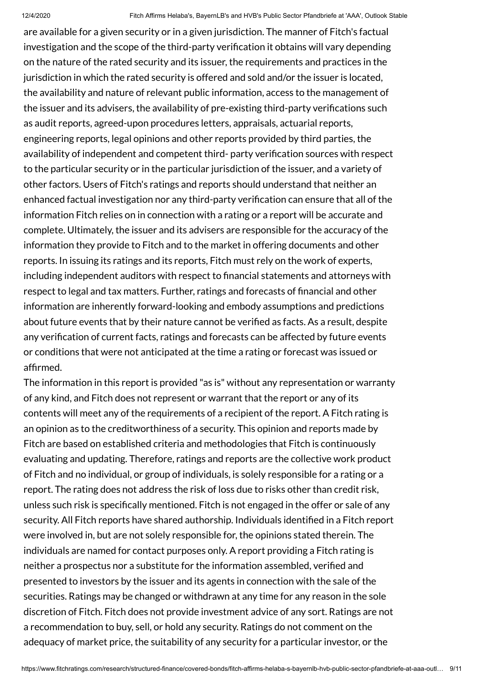are available for a given security or in a given jurisdiction. The manner of Fitch's factual investigation and the scope of the third-party verification it obtains will vary depending on the nature of the rated security and its issuer, the requirements and practices in the jurisdiction in which the rated security is offered and sold and/or the issuer is located, the availability and nature of relevant public information, access to the management of the issuer and its advisers, the availability of pre-existing third-party verifications such as audit reports, agreed-upon procedures letters, appraisals, actuarial reports, engineering reports, legal opinions and other reports provided by third parties, the availability of independent and competent third- party verification sources with respect to the particular security or in the particular jurisdiction of the issuer, and a variety of other factors. Users of Fitch's ratings and reports should understand that neither an enhanced factual investigation nor any third-party verification can ensure that all of the information Fitch relies on in connection with a rating or a report will be accurate and complete. Ultimately, the issuer and its advisers are responsible for the accuracy of the information they provide to Fitch and to the market in offering documents and other reports. In issuing its ratings and its reports, Fitch must rely on the work of experts, including independent auditors with respect to financial statements and attorneys with respect to legal and tax matters. Further, ratings and forecasts of financial and other information are inherently forward-looking and embody assumptions and predictions about future events that by their nature cannot be verified as facts. As a result, despite any verification of current facts, ratings and forecasts can be affected by future events or conditions that were not anticipated at the time a rating or forecast was issued or affirmed.

The information in this report is provided "as is" without any representation or warranty of any kind, and Fitch does not represent or warrant that the report or any of its contents will meet any of the requirements of a recipient of the report. A Fitch rating is an opinion as to the creditworthiness of a security. This opinion and reports made by Fitch are based on established criteria and methodologies that Fitch is continuously evaluating and updating. Therefore, ratings and reports are the collective work product of Fitch and no individual, or group of individuals, is solely responsible for a rating or a report. The rating does not address the risk of loss due to risks other than credit risk, unless such risk is specifically mentioned. Fitch is not engaged in the offer or sale of any security. All Fitch reports have shared authorship. Individuals identified in a Fitch report were involved in, but are not solely responsible for, the opinions stated therein. The individuals are named for contact purposes only. A report providing a Fitch rating is neither a prospectus nor a substitute for the information assembled, verified and presented to investors by the issuer and its agents in connection with the sale of the securities. Ratings may be changed or withdrawn at any time for any reason in the sole discretion of Fitch. Fitch does not provide investment advice of any sort. Ratings are not a recommendation to buy, sell, or hold any security. Ratings do not comment on the adequacy of market price, the suitability of any security for a particular investor, or the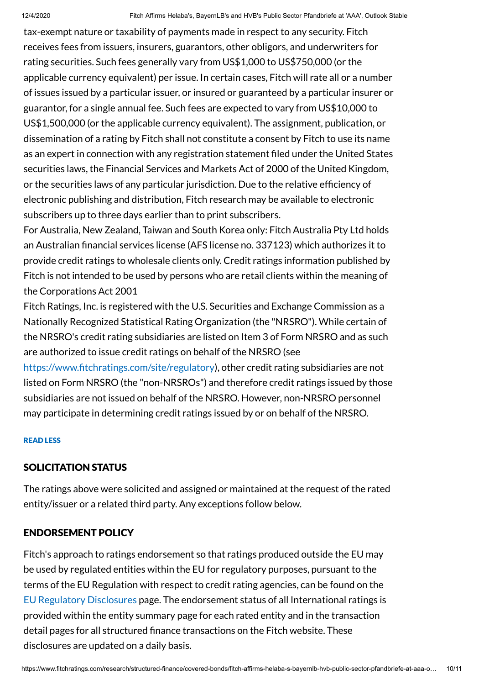tax-exempt nature or taxability of payments made in respect to any security. Fitch receives fees from issuers, insurers, guarantors, other obligors, and underwriters for rating securities. Such fees generally vary from US\$1,000 to US\$750,000 (or the applicable currency equivalent) per issue. In certain cases, Fitch will rate all or a number of issues issued by a particular issuer, or insured or guaranteed by a particular insurer or guarantor, for a single annual fee. Such fees are expected to vary from US\$10,000 to US\$1,500,000 (or the applicable currency equivalent). The assignment, publication, or dissemination of a rating by Fitch shall not constitute a consent by Fitch to use its name as an expert in connection with any registration statement filed under the United States securities laws, the Financial Services and Markets Act of 2000 of the United Kingdom, or the securities laws of any particular jurisdiction. Due to the relative efficiency of electronic publishing and distribution, Fitch research may be available to electronic subscribers up to three days earlier than to print subscribers.

For Australia, New Zealand, Taiwan and South Korea only: Fitch Australia Pty Ltd holds an Australian financial services license (AFS license no. 337123) which authorizes it to provide credit ratings to wholesale clients only. Credit ratings information published by Fitch is not intended to be used by persons who are retail clients within the meaning of the Corporations Act 2001

Fitch Ratings, Inc. is registered with the U.S. Securities and Exchange Commission as a Nationally Recognized Statistical Rating Organization (the "NRSRO"). While certain of the NRSRO's credit rating subsidiaries are listed on Item 3 of Form NRSRO and as such are authorized to issue credit ratings on behalf of the NRSRO (see

https://www.fitchratings.com/site/regulatory), other credit rating subsidiaries are not listed on Form NRSRO (the "non-NRSROs") and therefore credit ratings issued by those subsidiaries are not issued on behalf of the NRSRO. However, non-NRSRO personnel may participate in determining credit ratings issued by or on behalf of the NRSRO.

#### READ LESS

#### <span id="page-9-0"></span>SOLICITATION STATUS

The ratings above were solicited and assigned or maintained at the request of the rated entity/issuer or a related third party. Any exceptions follow below.

#### <span id="page-9-1"></span>ENDORSEMENT POLICY

Fitch's approach to ratings endorsement so that ratings produced outside the EU may be used by regulated entities within the EU for regulatory purposes, pursuant to the terms of the EU Regulation with respect to credit rating agencies, can be found on the EU Regulatory [Disclosures](https://www.fitchratings.com/regulatory) page. The endorsement status of all International ratings is provided within the entity summary page for each rated entity and in the transaction detail pages for all structured finance transactions on the Fitch website. These disclosures are updated on a daily basis.